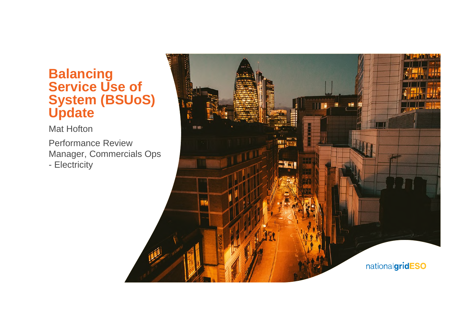### **Balancing Service Use of System (BSUoS) Update**

Mat Hofton

Performance Review Manager, Commercials Ops - Electricity

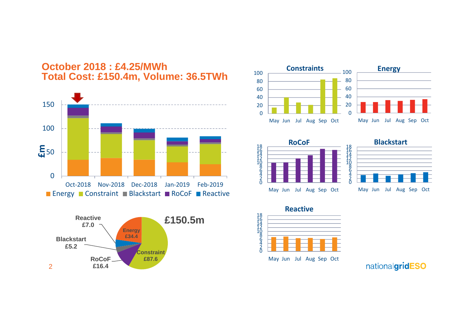











May Jun Jul Aug Sep Oct



nationalgridESO

#### **October 2018 : £4.25/MWh Total Cost: £150.4m, Volume: 36.5TWh**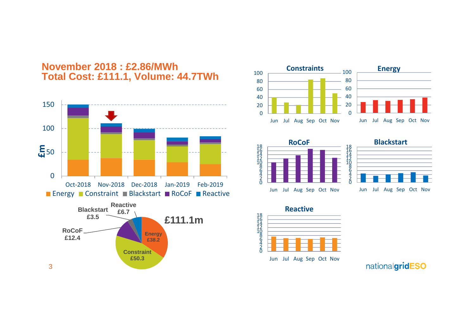











Jun Jul Aug Sep Oct Nov



nationalgridESO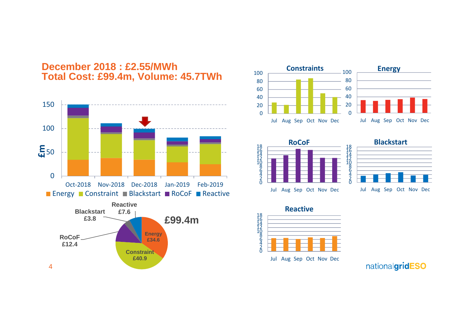

#### **December 2018 : £2.55/MWh Total Cost: £99.4m, Volume: 45.7TWh**









Jul Aug Sep Oct Nov Dec



nationalgridESO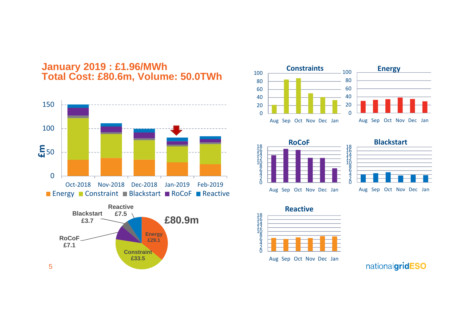











Aug Sep Oct Nov Dec Jan



nationalgridESO

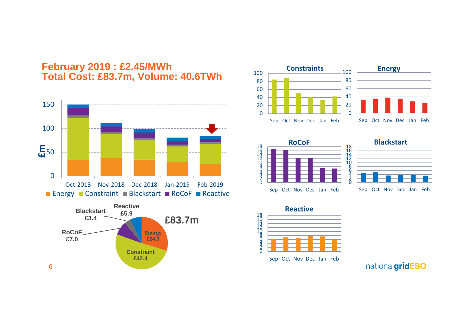

**£42.4**





1842086420 Sep Oct Nov Dec Jan Feb **RoCoF** 1844<br>142<br>108<br>6<br>6<br>108<br>6<br>1



Sep Oct Nov Dec Jan Feb

 $\bar{0}$ 2 4



nationalgridESO

#### **February 2019 : £2.45/MWh Total Cost: £83.7m, Volume: 40.6TWh**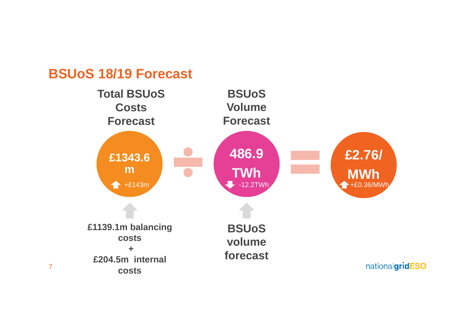## **BSUoS 18/19 Forecast**

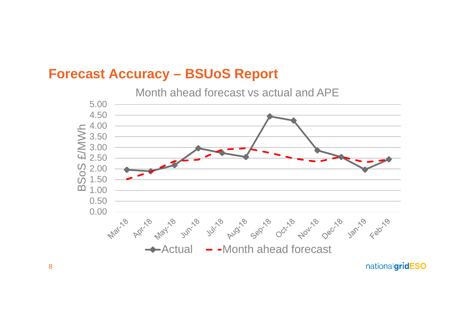## **Forecast Accuracy – BSUoS Report**

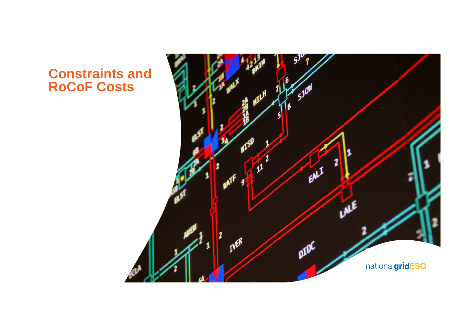## **Constraints and RoCoF Costs**

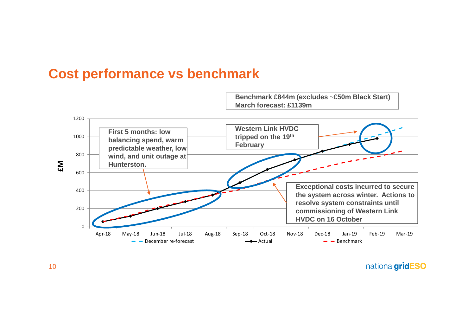

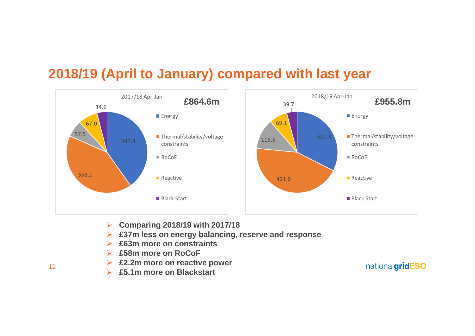## **2018/19 (April to January) compared with last year**



- **Comparing 2018/19 with 2017/18**
- **£37m less on energy balancing, reserve and response**
- **£63m more on constraints**
- **£58m more on RoCoF**
- **£2.2m more on reactive power**
- **£5.1m more on Blackstart**

nationalgridESO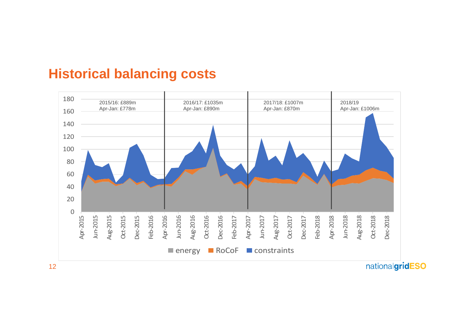### **Historical balancing costs**



nationalgridESO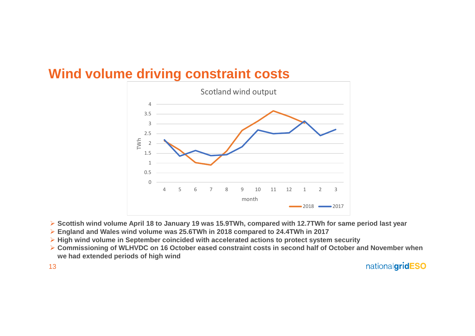

## **Wind volume driving constraint costs**

- **Scottish wind volume April 18 to January 19 was 15.9TWh, compared with 12.7TWh for same period last year**
- **England and Wales wind volume was 25.6TWh in 2018 compared to 24.4TWh in 2017**
- **High wind volume in September coincided with accelerated actions to protect system security**
- **Commissioning of WLHVDC on 16 October eased constraint costs in second half of October and November when we had extended periods of high wind**

nationalgridESO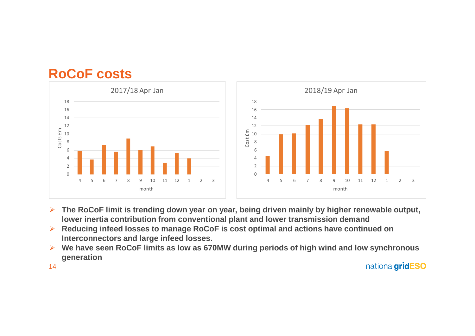## **RoCoF costs**



- **The RoCoF limit is trending down year on year, being driven mainly by higher renewable output, lower inertia contribution from conventional plant and lower transmission demand**
- **Reducing infeed losses to manage RoCoF is cost optimal and actions have continued on Interconnectors and large infeed losses.**
- **We have seen RoCoF limits as low as 670MW during periods of high wind and low synchronous generation**

14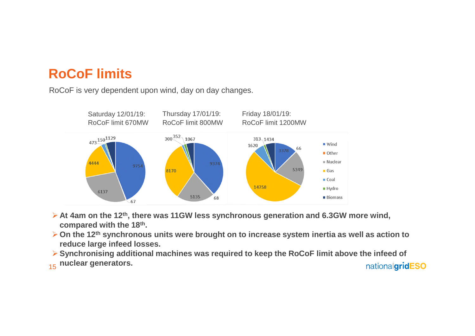# **RoCoF limits**

RoCoF is very dependent upon wind, day on day changes.



- **At 4am on the 12th, there was 11GW less synchronous generation and 6.3GW more wind, compared with the 18th.**
- **On the 12th synchronous units were brought on to increase system inertia as well as action to reduce large infeed losses.**
- **Synchronising additional machines was required to keep the RoCoF limit above the infeed of** 15 **nuclear generators.** nationalgridESO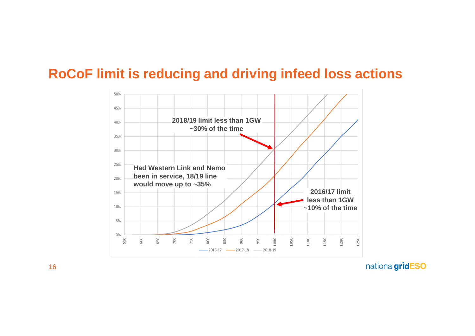## **RoCoF limit is reducing and driving infeed loss actions**

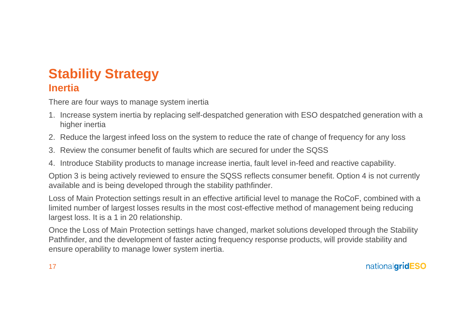#### **Stability Strategy Inertia**

There are four ways to manage system inertia

- 1. Increase system inertia by replacing self-despatched generation with ESO despatched generation with a higher inertia
- 2. Reduce the largest infeed loss on the system to reduce the rate of change of frequency for any loss
- 3. Review the consumer benefit of faults which are secured for under the SQSS
- 4. Introduce Stability products to manage increase inertia, fault level in-feed and reactive capability.

Option 3 is being actively reviewed to ensure the SQSS reflects consumer benefit. Option 4 is not currently available and is being developed through the stability pathfinder.

Loss of Main Protection settings result in an effective artificial level to manage the RoCoF, combined with a limited number of largest losses results in the most cost-effective method of management being reducing largest loss. It is a 1 in 20 relationship.

Once the Loss of Main Protection settings have changed, market solutions developed through the Stability Pathfinder, and the development of faster acting frequency response products, will provide stability and ensure operability to manage lower system inertia.

nationalgridESO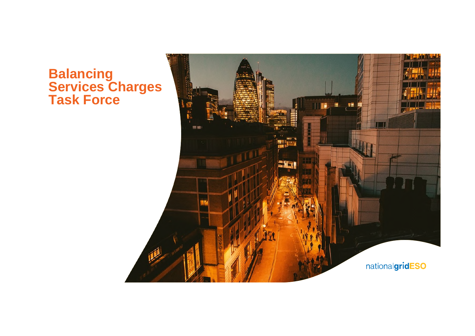### **Balancing Services Charges Task Force**

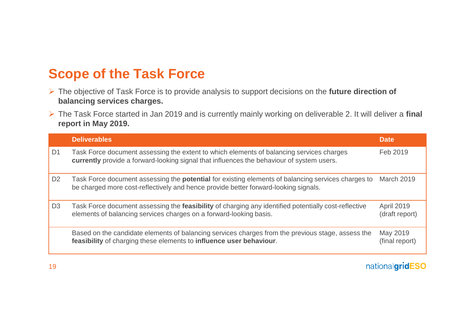# **Scope of the Task Force**

- The objective of Task Force is to provide analysis to support decisions on the **future direction of balancing services charges.**
- The Task Force started in Jan 2019 and is currently mainly working on deliverable 2. It will deliver a **final report in May 2019.**

|                | <b>Deliverables</b>                                                                                                                                                                              | Date                                |
|----------------|--------------------------------------------------------------------------------------------------------------------------------------------------------------------------------------------------|-------------------------------------|
| D <sub>1</sub> | Task Force document assessing the extent to which elements of balancing services charges<br>currently provide a forward-looking signal that influences the behaviour of system users.            | Feb 2019                            |
| D <sub>2</sub> | Task Force document assessing the <b>potential</b> for existing elements of balancing services charges to<br>be charged more cost-reflectively and hence provide better forward-looking signals. | March 2019                          |
| D <sub>3</sub> | Task Force document assessing the <b>feasibility</b> of charging any identified potentially cost-reflective<br>elements of balancing services charges on a forward-looking basis.                | <b>April 2019</b><br>(draft report) |
|                | Based on the candidate elements of balancing services charges from the previous stage, assess the<br>feasibility of charging these elements to influence user behaviour.                         | May 2019<br>(final report)          |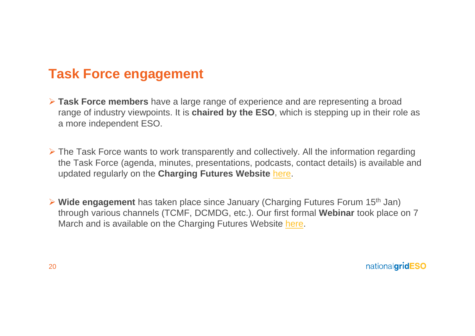# **Task Force engagement**

- **Task Force members** have a large range of experience and are representing a broad range of industry viewpoints. It is **chaired by the ESO**, which is stepping up in their role as a more independent ESO.
- $\triangleright$  The Task Force wants to work transparently and collectively. All the information regarding the Task Force (agenda, minutes, presentations, podcasts, contact details) is available and updated regularly on the **Charging Futures Website** here.
- **Wide engagement** has taken place since January (Charging Futures Forum 15th Jan) through various channels (TCMF, DCMDG, etc.). Our first formal **Webinar** took place on 7 March and is available on the Charging Futures Website here.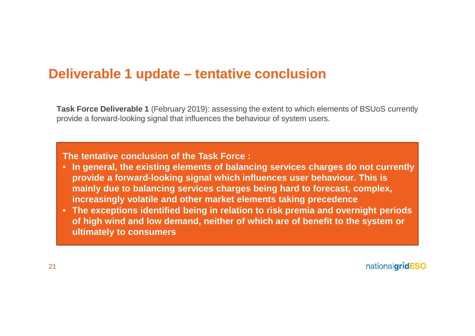## **Deliverable 1 update – tentative conclusion**

**Task Force Deliverable 1** (February 2019): assessing the extent to which elements of BSUoS currently provide a forward-looking signal that influences the behaviour of system users.

**The tentative conclusion of the Task Force :**

- **In general, the existing elements of balancing services charges do not currently provide a forward-looking signal which influences user behaviour. This is mainly due to balancing services charges being hard to forecast, complex, increasingly volatile and other market elements taking precedence**
- **The exceptions identified being in relation to risk premia and overnight periods of high wind and low demand, neither of which are of benefit to the system or ultimately to consumers**